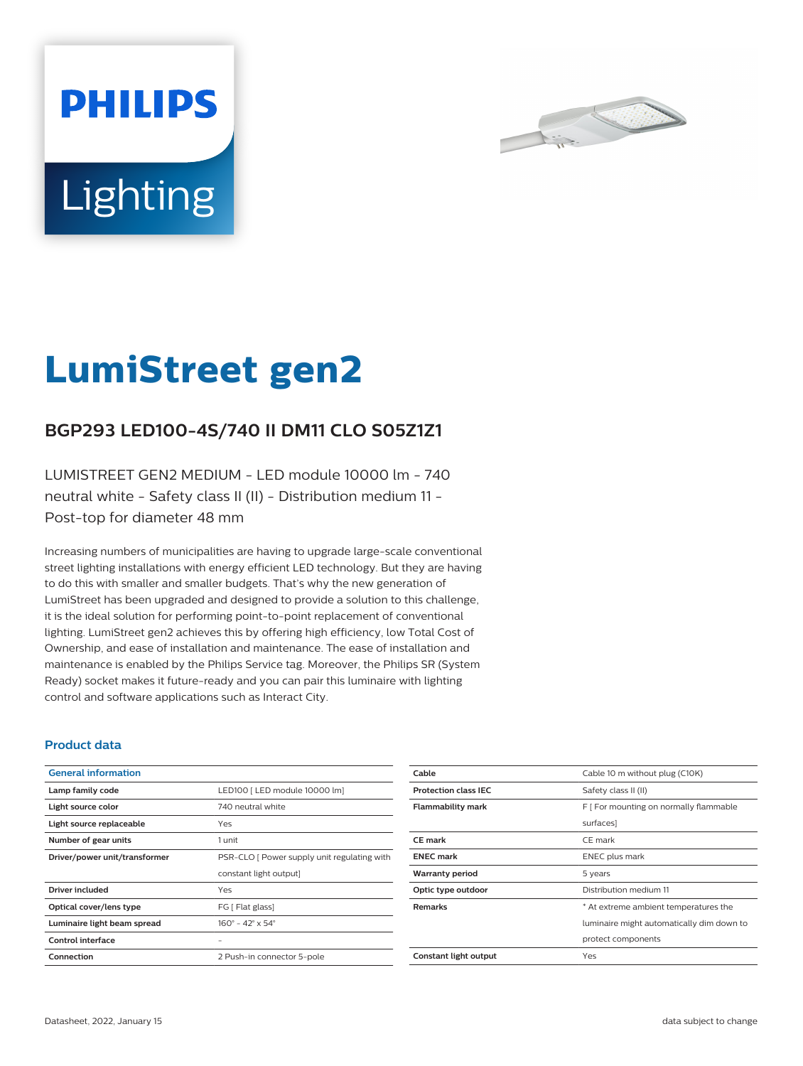



# **LumiStreet gen2**

## **BGP293 LED100-4S/740 II DM11 CLO S05Z1Z1**

LUMISTREET GEN2 MEDIUM - LED module 10000 lm - 740 neutral white - Safety class II (II) - Distribution medium 11 - Post-top for diameter 48 mm

Increasing numbers of municipalities are having to upgrade large-scale conventional street lighting installations with energy efficient LED technology. But they are having to do this with smaller and smaller budgets. That's why the new generation of LumiStreet has been upgraded and designed to provide a solution to this challenge, it is the ideal solution for performing point-to-point replacement of conventional lighting. LumiStreet gen2 achieves this by offering high efficiency, low Total Cost of Ownership, and ease of installation and maintenance. The ease of installation and maintenance is enabled by the Philips Service tag. Moreover, the Philips SR (System Ready) socket makes it future-ready and you can pair this luminaire with lighting control and software applications such as Interact City.

#### **Product data**

| <b>General information</b>    |                                              |
|-------------------------------|----------------------------------------------|
| Lamp family code              | LED100   LED module 10000 lm]                |
| Light source color            | 740 neutral white                            |
| Light source replaceable      | Yes                                          |
| Number of gear units          | 1 unit                                       |
| Driver/power unit/transformer | PSR-CLO [ Power supply unit regulating with  |
|                               | constant light output]                       |
| Driver included               | Yes                                          |
| Optical cover/lens type       | FG [ Flat glass]                             |
| Luminaire light beam spread   | $160^{\circ} - 42^{\circ} \times 54^{\circ}$ |
| Control interface             |                                              |
| Connection                    | 2 Push-in connector 5-pole                   |

| Cable                       | Cable 10 m without plug (C10K)            |
|-----------------------------|-------------------------------------------|
| <b>Protection class IEC</b> | Safety class II (II)                      |
| <b>Flammability mark</b>    | F [ For mounting on normally flammable    |
|                             | surfaces]                                 |
| CE mark                     | CE mark                                   |
| <b>ENEC</b> mark            | <b>ENEC</b> plus mark                     |
| <b>Warranty period</b>      | 5 years                                   |
| Optic type outdoor          | Distribution medium 11                    |
| <b>Remarks</b>              | * At extreme ambient temperatures the     |
|                             | luminaire might automatically dim down to |
|                             | protect components                        |
| Constant light output       | Yes                                       |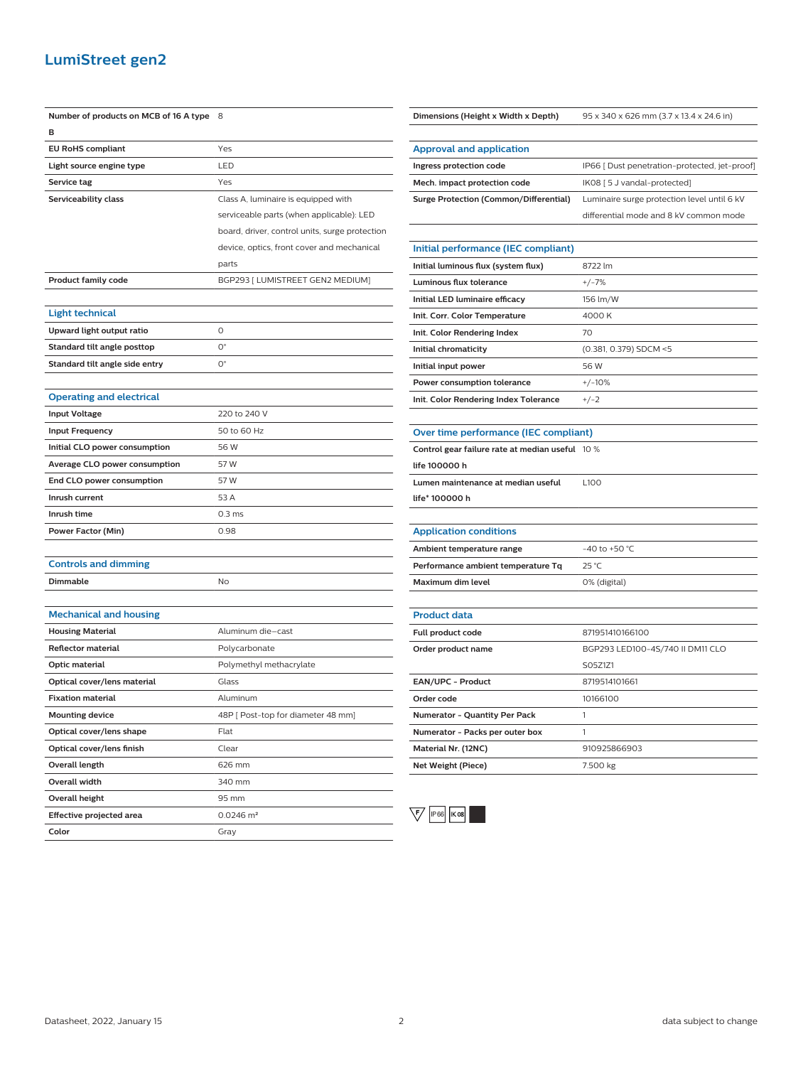### **LumiStreet gen2**

| Number of products on MCB of 16 A type | 8                                              |
|----------------------------------------|------------------------------------------------|
| в                                      |                                                |
| <b>EU RoHS compliant</b>               | Yes                                            |
| Light source engine type               | LED                                            |
| Service tag                            | Yes                                            |
| Serviceability class                   | Class A, luminaire is equipped with            |
|                                        | serviceable parts (when applicable): LED       |
|                                        | board, driver, control units, surge protection |
|                                        | device, optics, front cover and mechanical     |
|                                        | parts                                          |
| <b>Product family code</b>             | BGP293 [ LUMISTREET GEN2 MEDIUM]               |
|                                        |                                                |
| <b>Light technical</b>                 |                                                |
| Upward light output ratio              | 0                                              |
| Standard tilt angle posttop            | $O^{\circ}$                                    |
| Standard tilt angle side entry         | $O^{\circ}$                                    |
|                                        |                                                |
| <b>Operating and electrical</b>        |                                                |
| <b>Input Voltage</b>                   | 220 to 240 V                                   |
| <b>Input Frequency</b>                 | 50 to 60 Hz                                    |
| Initial CLO power consumption          | 56 W                                           |
| Average CLO power consumption          | 57 W                                           |
| End CLO power consumption              | 57 W                                           |
| Inrush current                         | 53 A                                           |
| Inrush time                            | 0.3 <sub>ms</sub>                              |
| Power Factor (Min)                     | 0.98                                           |
|                                        |                                                |
| <b>Controls and dimming</b>            |                                                |
| Dimmable                               | No                                             |
|                                        |                                                |
| <b>Mechanical and housing</b>          |                                                |
| <b>Housing Material</b>                | Aluminum die-cast                              |
| Reflector material                     | Polycarbonate                                  |
| Optic material                         | Polymethyl methacrylate                        |
| Optical cover/lens material            | Glass                                          |
| <b>Fixation material</b>               | Aluminum                                       |
| <b>Mounting device</b>                 | 48P [ Post-top for diameter 48 mm]             |
| Optical cover/lens shape               | Flat                                           |
| Optical cover/lens finish              | Clear                                          |
| Overall length                         | 626 mm                                         |
| Overall width                          | 340 mm                                         |
| <b>Overall height</b>                  | 95 mm                                          |
| Effective projected area               | $0.0246$ m <sup>2</sup>                        |
| Color                                  | Gray                                           |

| Ingress protection code                         | IP66 [ Dust penetration-protected, jet-proof] |
|-------------------------------------------------|-----------------------------------------------|
| Mech. impact protection code                    | IK08 [ 5 J vandal-protected]                  |
| <b>Surge Protection (Common/Differential)</b>   | Luminaire surge protection level until 6 kV   |
|                                                 | differential mode and 8 kV common mode        |
|                                                 |                                               |
| Initial performance (IEC compliant)             |                                               |
| Initial luminous flux (system flux)             | 8722 lm                                       |
| Luminous flux tolerance                         | $+/-7%$                                       |
| Initial LED luminaire efficacy                  | 156 lm/W                                      |
| Init. Corr. Color Temperature                   | 4000K                                         |
| Init. Color Rendering Index                     | 70                                            |
| Initial chromaticity                            | (0.381, 0.379) SDCM <5                        |
| Initial input power                             | 56 W                                          |
| Power consumption tolerance                     | $+/-10%$                                      |
| Init. Color Rendering Index Tolerance           | $+/-2$                                        |
|                                                 |                                               |
| Over time performance (IEC compliant)           |                                               |
| Control gear failure rate at median useful 10 % |                                               |
| life 100000 h                                   |                                               |
| Lumen maintenance at median useful              | L <sub>100</sub>                              |
| life* 100000 h                                  |                                               |
|                                                 |                                               |
| <b>Application conditions</b>                   |                                               |
| Ambient temperature range                       | $-40$ to $+50$ °C                             |
| Performance ambient temperature Tq              | 25 °C                                         |
| <b>Maximum dim level</b>                        | 0% (digital)                                  |
|                                                 |                                               |
| <b>Product data</b>                             |                                               |
| Full product code                               | 871951410166100                               |
| Order product name                              | BGP293 LED100-4S/740 II DM11 CLO              |
|                                                 | S05Z1Z1                                       |
| EAN/UPC - Product                               | 8719514101661                                 |
| Order code                                      | 10166100                                      |
| Numerator - Quantity Per Pack                   | 1                                             |

**Dimensions (Height x Width x Depth)** 95 x 340 x 626 mm (3.7 x 13.4 x 24.6 in)

**Approval and application**